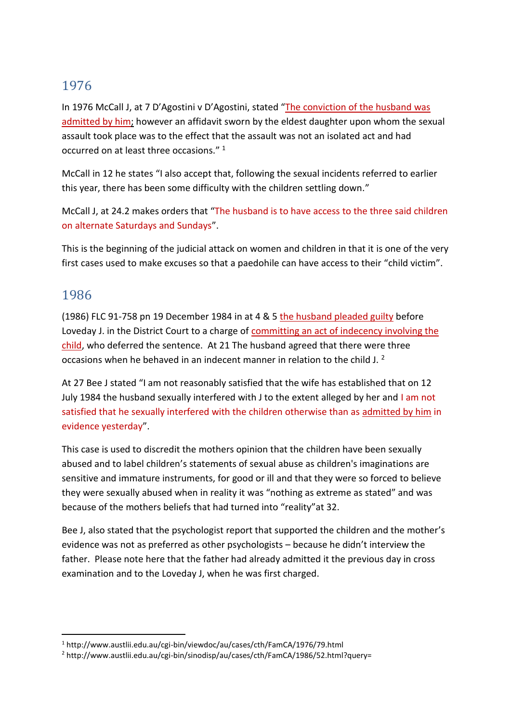# 1976

In 1976 McCall J, at 7 D'Agostini v D'Agostini, stated "The conviction of the husband was admitted by him; however an affidavit sworn by the eldest daughter upon whom the sexual assault took place was to the effect that the assault was not an isolated act and had occurred on at least three occasions." 1

McCall in 12 he states "I also accept that, following the sexual incidents referred to earlier this year, there has been some difficulty with the children settling down."

McCall J, at 24.2 makes orders that "The husband is to have access to the three said children on alternate Saturdays and Sundays".

This is the beginning of the judicial attack on women and children in that it is one of the very first cases used to make excuses so that a paedohile can have access to their "child victim".

## 1986

(1986) FLC 91-758 pn 19 December 1984 in at 4 & 5 the husband pleaded guilty before Loveday J. in the District Court to a charge of committing an act of indecency involving the child, who deferred the sentence. At 21 The husband agreed that there were three occasions when he behaved in an indecent manner in relation to the child J.<sup>2</sup>

At 27 Bee J stated "I am not reasonably satisfied that the wife has established that on 12 July 1984 the husband sexually interfered with J to the extent alleged by her and I am not satisfied that he sexually interfered with the children otherwise than as admitted by him in evidence yesterday".

This case is used to discredit the mothers opinion that the children have been sexually abused and to label children's statements of sexual abuse as children's imaginations are sensitive and immature instruments, for good or ill and that they were so forced to believe they were sexually abused when in reality it was "nothing as extreme as stated" and was because of the mothers beliefs that had turned into "reality"at 32.

Bee J, also stated that the psychologist report that supported the children and the mother's evidence was not as preferred as other psychologists – because he didn't interview the father. Please note here that the father had already admitted it the previous day in cross examination and to the Loveday J, when he was first charged.

<sup>-</sup><sup>1</sup> http://www.austlii.edu.au/cgi-bin/viewdoc/au/cases/cth/FamCA/1976/79.html

<sup>2</sup> http://www.austlii.edu.au/cgi-bin/sinodisp/au/cases/cth/FamCA/1986/52.html?query=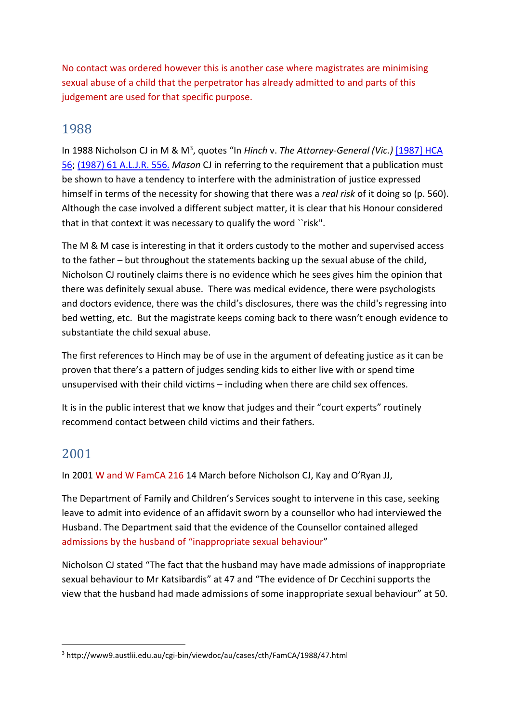No contact was ordered however this is another case where magistrates are minimising sexual abuse of a child that the perpetrator has already admitted to and parts of this judgement are used for that specific purpose.

### 1988

In 1988 Nicholson CJ in M & M<sup>3</sup>, quotes "In Hinch v. The Attorney-General (Vic.) [1987] HCA [56;](http://www9.austlii.edu.au/cgi-bin/viewdoc/au/cases/cth/HCA/1987/56.html) [\(1987\) 61 A.L.J.R. 556.](http://www9.austlii.edu.au/cgi-bin/LawCite?cit=%281987%29%2061%20ALJR%20556) *Mason* CJ in referring to the requirement that a publication must be shown to have a tendency to interfere with the administration of justice expressed himself in terms of the necessity for showing that there was a *real risk* of it doing so (p. 560). Although the case involved a different subject matter, it is clear that his Honour considered that in that context it was necessary to qualify the word ``risk''.

The M & M case is interesting in that it orders custody to the mother and supervised access to the father – but throughout the statements backing up the sexual abuse of the child, Nicholson CJ routinely claims there is no evidence which he sees gives him the opinion that there was definitely sexual abuse. There was medical evidence, there were psychologists and doctors evidence, there was the child's disclosures, there was the child's regressing into bed wetting, etc. But the magistrate keeps coming back to there wasn't enough evidence to substantiate the child sexual abuse.

The first references to Hinch may be of use in the argument of defeating justice as it can be proven that there's a pattern of judges sending kids to either live with or spend time unsupervised with their child victims – including when there are child sex offences.

It is in the public interest that we know that judges and their "court experts" routinely recommend contact between child victims and their fathers.

# 2001

1

In 2001 W and W FamCA 216 14 March before Nicholson CJ, Kay and O'Ryan JJ,

The Department of Family and Children's Services sought to intervene in this case, seeking leave to admit into evidence of an affidavit sworn by a counsellor who had interviewed the Husband. The Department said that the evidence of the Counsellor contained alleged admissions by the husband of "inappropriate sexual behaviour"

Nicholson CJ stated "The fact that the husband may have made admissions of inappropriate sexual behaviour to Mr Katsibardis" at 47 and "The evidence of Dr Cecchini supports the view that the husband had made admissions of some inappropriate sexual behaviour" at 50.

<sup>3</sup> http://www9.austlii.edu.au/cgi-bin/viewdoc/au/cases/cth/FamCA/1988/47.html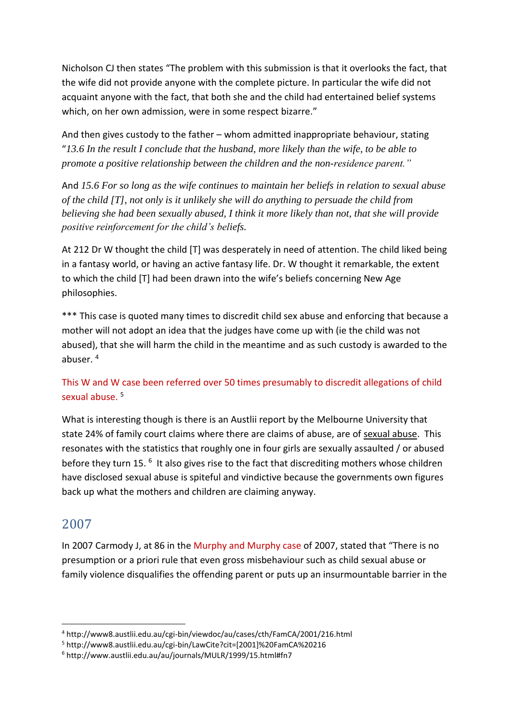Nicholson CJ then states "The problem with this submission is that it overlooks the fact, that the wife did not provide anyone with the complete picture. In particular the wife did not acquaint anyone with the fact, that both she and the child had entertained belief systems which, on her own admission, were in some respect bizarre."

And then gives custody to the father – whom admitted inappropriate behaviour, stating "*13.6 In the result I conclude that the husband, more likely than the wife, to be able to promote a positive relationship between the children and the non-residence parent."*

And *15.6 For so long as the wife continues to maintain her beliefs in relation to sexual abuse of the child [T], not only is it unlikely she will do anything to persuade the child from believing she had been sexually abused, I think it more likely than not, that she will provide positive reinforcement for the child's beliefs.*

At 212 Dr W thought the child [T] was desperately in need of attention. The child liked being in a fantasy world, or having an active fantasy life. Dr. W thought it remarkable, the extent to which the child [T] had been drawn into the wife's beliefs concerning New Age philosophies.

\*\*\* This case is quoted many times to discredit child sex abuse and enforcing that because a mother will not adopt an idea that the judges have come up with (ie the child was not abused), that she will harm the child in the meantime and as such custody is awarded to the abuser. 4

#### This W and W case been referred over 50 times presumably to discredit allegations of child sexual abuse.<sup>5</sup>

What is interesting though is there is an Austlii report by the Melbourne University that state 24% of family court claims where there are claims of abuse, are of sexual abuse. This resonates with the statistics that roughly one in four girls are sexually assaulted / or abused before they turn 15.<sup>6</sup> It also gives rise to the fact that discrediting mothers whose children have disclosed sexual abuse is spiteful and vindictive because the governments own figures back up what the mothers and children are claiming anyway.

### 2007

1

In 2007 Carmody J, at 86 in the Murphy and Murphy case of 2007, stated that "There is no presumption or a priori rule that even gross misbehaviour such as child sexual abuse or family violence disqualifies the offending parent or puts up an insurmountable barrier in the

<sup>4</sup> http://www8.austlii.edu.au/cgi-bin/viewdoc/au/cases/cth/FamCA/2001/216.html

<sup>5</sup> http://www8.austlii.edu.au/cgi-bin/LawCite?cit=[2001]%20FamCA%20216

<sup>6</sup> http://www.austlii.edu.au/au/journals/MULR/1999/15.html#fn7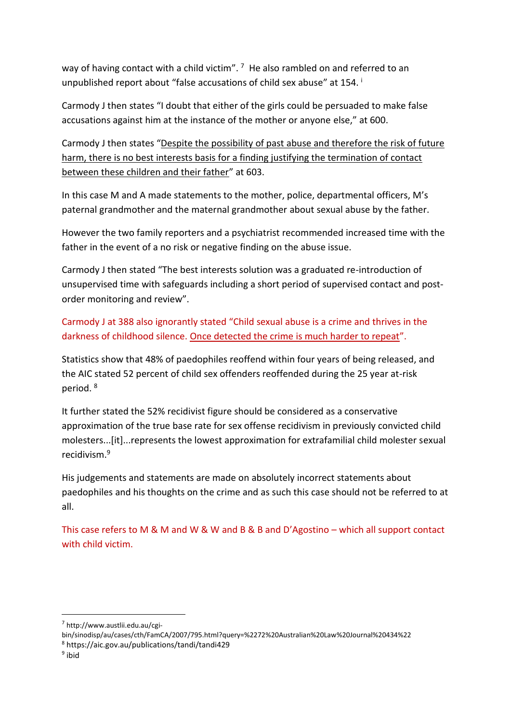way of having contact with a child victim".  $7$  He also rambled on and referred to an unpublished report about "false accusations of child sex abuse" at 154. <sup>i</sup>

Carmody J then states "I doubt that either of the girls could be persuaded to make false accusations against him at the instance of the mother or anyone else," at 600.

Carmody J then states "Despite the possibility of past abuse and therefore the risk of future harm, there is no best interests basis for a finding justifying the termination of contact between these children and their father" at 603.

In this case M and A made statements to the mother, police, departmental officers, M's paternal grandmother and the maternal grandmother about sexual abuse by the father.

However the two family reporters and a psychiatrist recommended increased time with the father in the event of a no risk or negative finding on the abuse issue.

Carmody J then stated "The best interests solution was a graduated re-introduction of unsupervised time with safeguards including a short period of supervised contact and postorder monitoring and review".

Carmody J at 388 also ignorantly stated "Child sexual abuse is a crime and thrives in the darkness of childhood silence. Once detected the crime is much harder to repeat".

Statistics show that 48% of paedophiles reoffend within four years of being released, and the AIC stated 52 percent of child sex offenders reoffended during the 25 year at-risk period. 8

It further stated the 52% recidivist figure should be considered as a conservative approximation of the true base rate for sex offense recidivism in previously convicted child molesters...[it]...represents the lowest approximation for extrafamilial child molester sexual recidivism. 9

His judgements and statements are made on absolutely incorrect statements about paedophiles and his thoughts on the crime and as such this case should not be referred to at all.

This case refers to M & M and W & W and B & B and D'Agostino – which all support contact with child victim.

bin/sinodisp/au/cases/cth/FamCA/2007/795.html?query=%2272%20Australian%20Law%20Journal%20434%22 <sup>8</sup> https://aic.gov.au/publications/tandi/tandi429

-

<sup>7</sup> http://www.austlii.edu.au/cgi-

<sup>&</sup>lt;sup>9</sup> ibid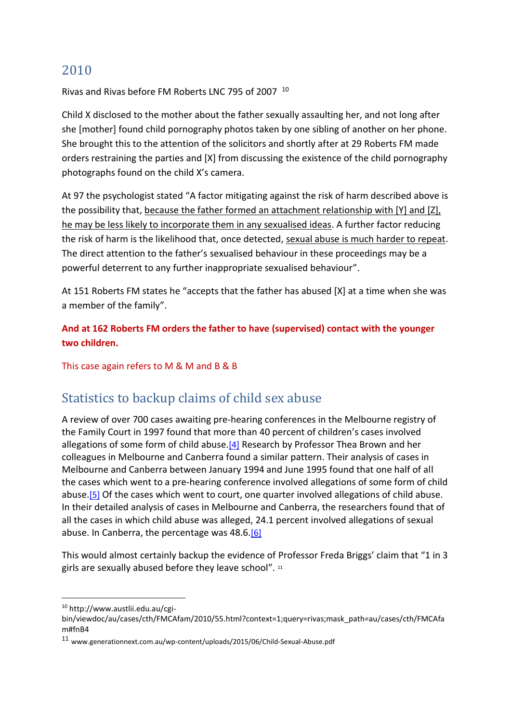### 2010

Rivas and Rivas before FM Roberts LNC 795 of 2007 <sup>10</sup>

Child X disclosed to the mother about the father sexually assaulting her, and not long after she [mother] found child pornography photos taken by one sibling of another on her phone. She brought this to the attention of the solicitors and shortly after at 29 Roberts FM made orders restraining the parties and [X] from discussing the existence of the child pornography photographs found on the child X's camera.

At 97 the psychologist stated "A factor mitigating against the risk of harm described above is the possibility that, because the father formed an attachment relationship with [Y] and [Z], he may be less likely to incorporate them in any sexualised ideas. A further factor reducing the risk of harm is the likelihood that, once detected, sexual abuse is much harder to repeat. The direct attention to the father's sexualised behaviour in these proceedings may be a powerful deterrent to any further inappropriate sexualised behaviour".

At 151 Roberts FM states he "accepts that the father has abused [X] at a time when she was a member of the family".

**And at 162 Roberts FM orders the father to have (supervised) contact with the younger two children.**

This case again refers to M & M and B & B

# Statistics to backup claims of child sex abuse

A review of over 700 cases awaiting pre-hearing conferences in the Melbourne registry of the Family Court in 1997 found that more than 40 percent of children's cases involved allegations of some form of child abuse.[\[4\]](http://www.austlii.edu.au/au/journals/MULR/1999/15.html#fn5) Research by Professor Thea Brown and her colleagues in Melbourne and Canberra found a similar pattern. Their analysis of cases in Melbourne and Canberra between January 1994 and June 1995 found that one half of all the cases which went to a pre-hearing conference involved allegations of some form of child abuse.<sup>[\[5\]](http://www.austlii.edu.au/au/journals/MULR/1999/15.html#fn6)</sup> Of the cases which went to court, one quarter involved allegations of child abuse. In their detailed analysis of cases in Melbourne and Canberra, the researchers found that of all the cases in which child abuse was alleged, 24.1 percent involved allegations of sexual abuse. In Canberra, the percentage was 48.6.<sup>[\[6\]](http://www.austlii.edu.au/au/journals/MULR/1999/15.html#fn7)</sup>

This would almost certainly backup the evidence of Professor Freda Briggs' claim that "1 in 3 girls are sexually abused before they leave school". <sup>11</sup>

-

<sup>10</sup> http://www.austlii.edu.au/cgi-

bin/viewdoc/au/cases/cth/FMCAfam/2010/55.html?context=1;query=rivas;mask\_path=au/cases/cth/FMCAfa m#fnB4

<sup>11</sup> www.generationnext.com.au/wp-content/uploads/2015/06/Child-Sexual-Abuse.pdf